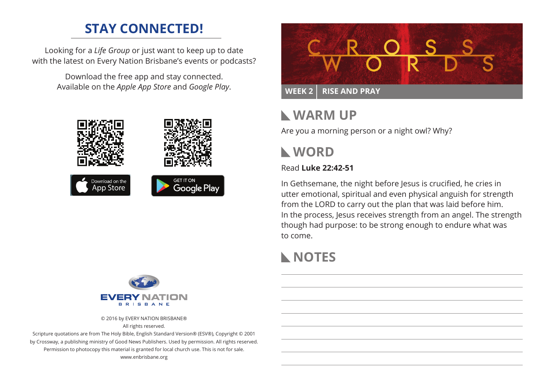### **STAY CONNECTED!**

Looking for a *Life Group* or just want to keep up to date with the latest on Every Nation Brisbane's events or podcasts?

> Download the free app and stay connected. Available on the *Apple App Store* and *Google Play*.





© 2016 by EVERY NATION BRISBANE® All rights reserved.

Scripture quotations are from The Holy Bible, English Standard Version® (ESV®), Copyright © 2001 by Crossway, a publishing ministry of Good News Publishers. Used by permission. All rights reserved. Permission to photocopy this material is granted for local church use. This is not for sale. www.enbrisbane.org



# **Warm Up**

Are you a morning person or a night owl? Why?

# **WORD**

#### Read **Luke 22:42-51**

In Gethsemane, the night before Jesus is crucified, he cries in utter emotional, spiritual and even physical anguish for strength from the LORD to carry out the plan that was laid before him. In the process, Jesus receives strength from an angel. The strength though had purpose: to be strong enough to endure what was to come.

# **NOTES**